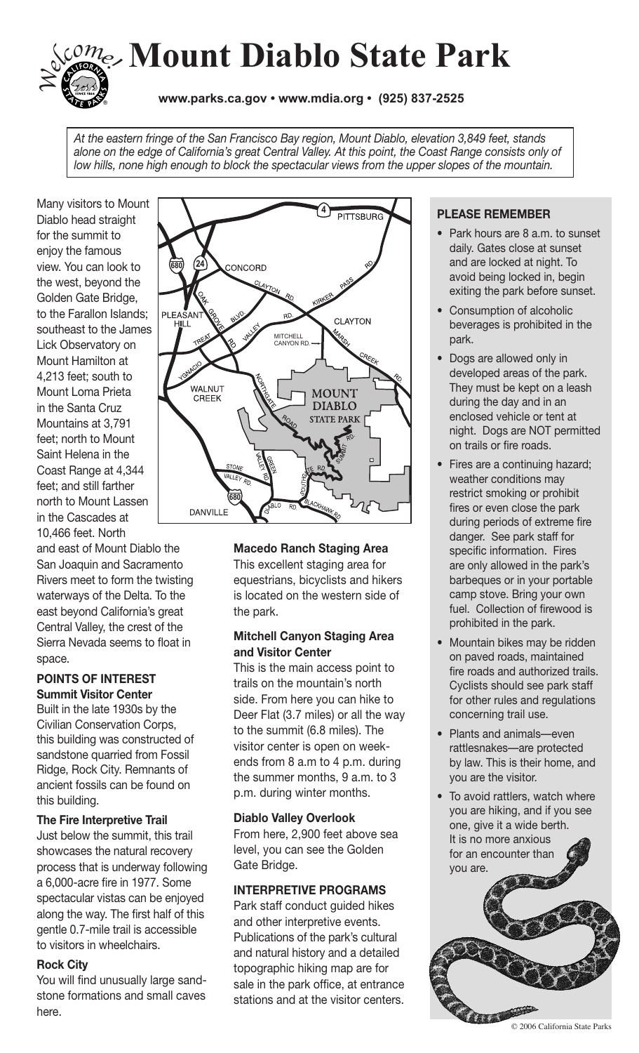

*At the eastern fringe of the San Francisco Bay region, Mount Diablo, elevation 3,849 feet, stands alone on the edge of California's great Central Valley. At this point, the Coast Range consists only of low hills, none high enough to block the spectacular views from the upper slopes of the mountain.*

Many visitors to Mount Diablo head straight for the summit to enjoy the famous view. You can look to the west, beyond the Golden Gate Bridge, to the Farallon Islands; southeast to the James Lick Observatory on Mount Hamilton at 4,213 feet; south to Mount Loma Prieta in the Santa Cruz Mountains at 3,791 feet; north to Mount Saint Helena in the Coast Range at 4,344 feet; and still farther north to Mount Lassen in the Cascades at 10,466 feet. North

and east of Mount Diablo the San Joaquin and Sacramento Rivers meet to form the twisting waterways of the Delta. To the east beyond California's great Central Valley, the crest of the Sierra Nevada seems to float in space.

### **Points of Interest Summit Visitor Center**

Built in the late 1930s by the Civilian Conservation Corps, this building was constructed of sandstone quarried from Fossil Ridge, Rock City. Remnants of ancient fossils can be found on this building.

### **The Fire Interpretive Trail**

Just below the summit, this trail showcases the natural recovery process that is underway following a 6,000-acre fire in 1977. Some spectacular vistas can be enjoyed along the way. The first half of this gentle 0.7-mile trail is accessible to visitors in wheelchairs.

# **Rock City**

You will find unusually large sandstone formations and small caves here.



### **Macedo Ranch Staging Area**

This excellent staging area for equestrians, bicyclists and hikers is located on the western side of the park.

### **Mitchell Canyon Staging Area and Visitor Center**

This is the main access point to trails on the mountain's north side. From here you can hike to Deer Flat (3.7 miles) or all the way to the summit (6.8 miles). The visitor center is open on weekends from 8 a.m to 4 p.m. during the summer months, 9 a.m. to 3 p.m. during winter months.

### **Diablo Valley Overlook**

From here, 2,900 feet above sea level, you can see the Golden Gate Bridge.

# **Interpretive Programs**

Park staff conduct quided hikes and other interpretive events. Publications of the park's cultural and natural history and a detailed topographic hiking map are for sale in the park office, at entrance stations and at the visitor centers.

# **PLEASE REMEMBER**

- Park hours are 8 a.m. to sunset daily. Gates close at sunset and are locked at night. To avoid being locked in, begin exiting the park before sunset.
- Consumption of alcoholic beverages is prohibited in the park.
- Dogs are allowed only in developed areas of the park. They must be kept on a leash during the day and in an enclosed vehicle or tent at night. Dogs are NOT permitted on trails or fire roads.
- Fires are a continuing hazard; weather conditions may restrict smoking or prohibit fires or even close the park during periods of extreme fire danger. See park staff for specific information. Fires are only allowed in the park's barbeques or in your portable camp stove. Bring your own fuel. Collection of firewood is prohibited in the park.
- Mountain bikes may be ridden on paved roads, maintained fire roads and authorized trails. Cyclists should see park staff for other rules and regulations concerning trail use.
- Plants and animals—even rattlesnakes—are protected by law. This is their home, and you are the visitor.
- To avoid rattlers, watch where you are hiking, and if you see one, give it a wide berth. It is no more anxious for an encounter than you are.